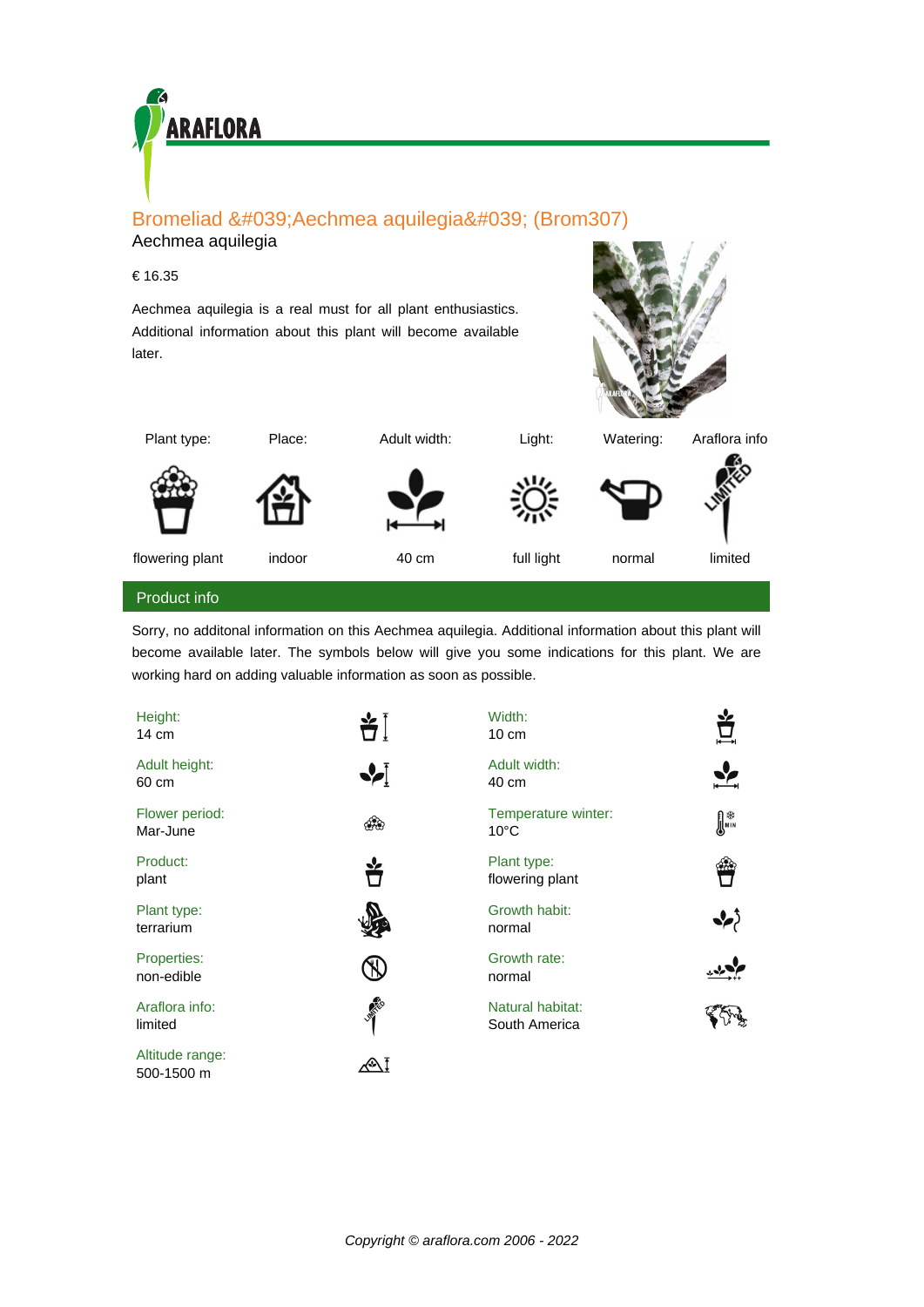

# Bromeliad ' Aechmea aquilegia ' (Brom307)

# Aechmea aquilegia

## € 16.35

Aechmea aquilegia is a real must for all plant enthusiastics. Additional information about this plant will become available later.



| Plant type: | Place: | Adult width: | Light: | Watering: | Araflora info |
|-------------|--------|--------------|--------|-----------|---------------|
|             |        |              |        |           | 佟             |

flowering plant indoor 40 cm full light normal limited

### Product info

Sorry, no additonal information on this Aechmea aquilegia. Additional information about this plant will become available later. The symbols below will give you some indications for this plant. We are working hard on adding valuable information as soon as possible.

| Height:<br>$14 \text{ cm}$    | ¥Ì              | Width:<br>$10 \text{ cm}$             | Ľ              |
|-------------------------------|-----------------|---------------------------------------|----------------|
| Adult height:<br>60 cm        | $\blacklozenge$ | Adult width:<br>40 cm                 |                |
| Flower period:<br>Mar-June    |                 | Temperature winter:<br>$10^{\circ}$ C | $\mathbb{R}^*$ |
| Product:<br>plant             |                 | Plant type:<br>flowering plant        |                |
| Plant type:<br>terrarium      |                 | Growth habit:<br>normal               |                |
| Properties:<br>non-edible     |                 | Growth rate:<br>normal                |                |
| Araflora info:<br>limited     | <b>VANCON</b>   | Natural habitat:<br>South America     |                |
| Altitude range:<br>500-1500 m | ≪\1             |                                       |                |